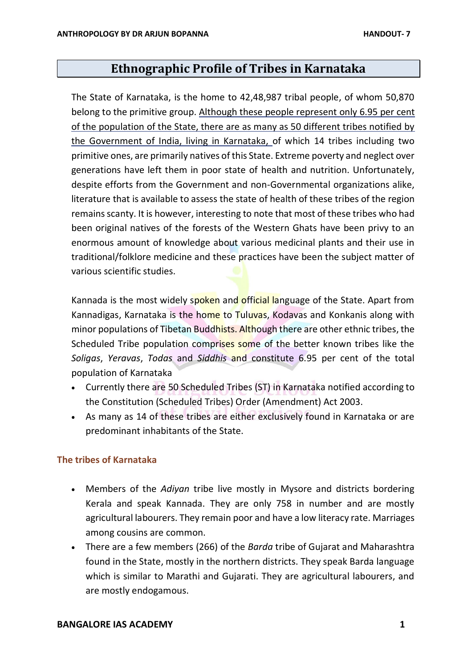# **Ethnographic Profile of Tribes in Karnataka**

The State of Karnataka, is the home to 42,48,987 tribal people, of whom 50,870 belong to the primitive group. Although these people represent only 6.95 per cent of the population of the State, there are as many as 50 different tribes notified by the Government of India, living in Karnataka, of which 14 tribes including two primitive ones, are primarily natives of this State. Extreme poverty and neglect over generations have left them in poor state of health and nutrition. Unfortunately, despite efforts from the Government and non-Governmental organizations alike, literature that is available to assess the state of health of these tribes of the region remainsscanty. It is however, interesting to note that most of these tribes who had been original natives of the forests of the Western Ghats have been privy to an enormous amount of knowledge about various medicinal plants and their use in traditional/folklore medicine and these practices have been the subject matter of various scientific studies.

Kannada is the most widely spoken and official language of the State. Apart from Kannadigas, Karnataka is the home to Tuluvas, Kodavas and Konkanis along with minor populations of Tibetan Buddhists. Although there are other ethnic tribes, the Scheduled Tribe population comprises some of the better known tribes like the *Soligas*, *Yeravas*, *Todas* and *Siddhis* and constitute 6.95 per cent of the total population of Karnataka

- Currently there are 50 Scheduled Tribes (ST) in Karnataka notified according to the Constitution (Scheduled Tribes) Order (Amendment) Act 2003.
- As many as 14 of these tribes are either exclusively found in Karnataka or are predominant inhabitants of the State.

# **The tribes of Karnataka**

- Members of the *Adiyan* tribe live mostly in Mysore and districts bordering Kerala and speak Kannada. They are only 758 in number and are mostly agricultural labourers. They remain poor and have a low literacy rate. Marriages among cousins are common.
- There are a few members (266) of the *Barda* tribe of Gujarat and Maharashtra found in the State, mostly in the northern districts. They speak Barda language which is similar to Marathi and Gujarati. They are agricultural labourers, and are mostly endogamous.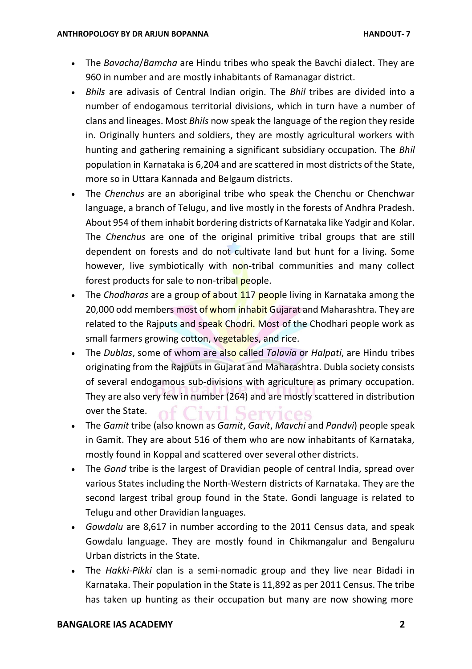- The *Bavacha*/*Bamcha* are Hindu tribes who speak the Bavchi dialect. They are 960 in number and are mostly inhabitants of Ramanagar district.
- *Bhils* are adivasis of Central Indian origin. The *Bhil* tribes are divided into a number of endogamous territorial divisions, which in turn have a number of clans and lineages. Most *Bhils* now speak the language of the region they reside in. Originally hunters and soldiers, they are mostly agricultural workers with hunting and gathering remaining a significant subsidiary occupation. The *Bhil*  population in Karnataka is 6,204 and are scattered in most districts of the State, more so in Uttara Kannada and Belgaum districts.
- The *Chenchus* are an aboriginal tribe who speak the Chenchu or Chenchwar language, a branch of Telugu, and live mostly in the forests of Andhra Pradesh. About 954 of them inhabit bordering districts of Karnataka like Yadgir and Kolar. The *Chenchus* are one of the original primitive tribal groups that are still dependent on forests and do not cultivate land but hunt for a living. Some however, live symbiotically with non-tribal communities and many collect forest products for sale to non-tribal people.
- The *Chodharas* are a group of about 117 people living in Karnataka among the 20,000 odd members most of whom inhabit Gujarat and Maharashtra. They are related to the Rajputs and speak Chodri. Most of the Chodhari people work as small farmers growing cotton, vegetables, and rice.
- The *Dublas*, some of whom are also called *Talavia* or *Halpati*, are Hindu tribes originating from the Rajputs in Gujarat and Maharashtra. Dubla society consists of several endogamous sub-divisions with agriculture as primary occupation. They are also very few in number (264) and are mostly scattered in distribution over the State.
- The *Gamit* tribe (also known as *Gamit*, *Gavit*, *Mavchi* and *Pandvi*) people speak in Gamit. They are about 516 of them who are now inhabitants of Karnataka, mostly found in Koppal and scattered over several other districts.
- The *Gond* tribe is the largest of Dravidian people of central India, spread over various States including the North-Western districts of Karnataka. They are the second largest tribal group found in the State. Gondi language is related to Telugu and other Dravidian languages.
- *Gowdalu* are 8,617 in number according to the 2011 Census data, and speak Gowdalu language. They are mostly found in Chikmangalur and Bengaluru Urban districts in the State.
- The *Hakki-Pikki* clan is a semi-nomadic group and they live near Bidadi in Karnataka. Their population in the State is 11,892 as per 2011 Census. The tribe has taken up hunting as their occupation but many are now showing more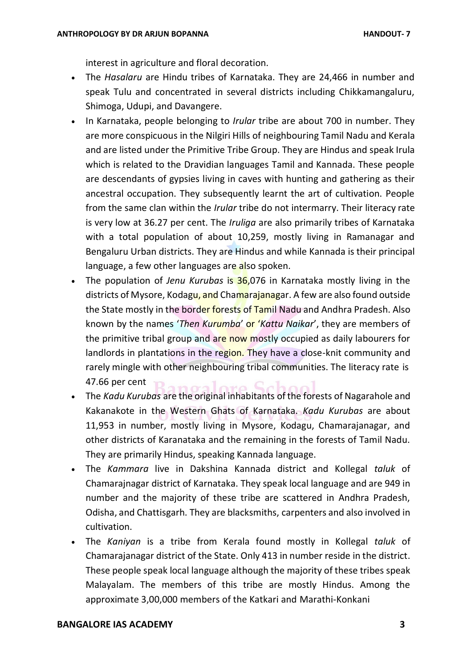interest in agriculture and floral decoration.

- The *Hasalaru* are Hindu tribes of Karnataka. They are 24,466 in number and speak Tulu and concentrated in several districts including Chikkamangaluru, Shimoga, Udupi, and Davangere.
- In Karnataka, people belonging to *Irular* tribe are about 700 in number. They are more conspicuous in the Nilgiri Hills of neighbouring Tamil Nadu and Kerala and are listed under the Primitive Tribe Group. They are Hindus and speak Irula which is related to the Dravidian languages Tamil and Kannada. These people are descendants of gypsies living in caves with hunting and gathering as their ancestral occupation. They subsequently learnt the art of cultivation. People from the same clan within the *Irular* tribe do not intermarry. Their literacy rate is very low at 36.27 per cent. The *Iruliga* are also primarily tribes of Karnataka with a total population of about 10,259, mostly living in Ramanagar and Bengaluru Urban districts. They are Hindus and while Kannada is their principal language, a few other languages are also spoken.
- The population of *Jenu Kurubas* is 36,076 in Karnataka mostly living in the districts of Mysore, Kodagu, and Chamarajanagar. A few are also found outside the State mostly in the border forests of Tamil Nadu and Andhra Pradesh. Also known by the names '*Then Kurumba*' or '*Kattu Naikar*', they are members of the primitive tribal group and are now mostly occupied as daily labourers for landlords in plantations in the region. They have a close-knit community and rarely mingle with other neighbouring tribal communities. The literacy rate is 47.66 per cent
- The *Kadu Kurubas* are the original inhabitants of the forests of Nagarahole and Kakanakote in the Western Ghats of Karnataka. *Kadu Kurubas* are about 11,953 in number, mostly living in Mysore, Kodagu, Chamarajanagar, and other districts of Karanataka and the remaining in the forests of Tamil Nadu. They are primarily Hindus, speaking Kannada language.
- The *Kammara* live in Dakshina Kannada district and Kollegal *taluk* of Chamarajnagar district of Karnataka. They speak local language and are 949 in number and the majority of these tribe are scattered in Andhra Pradesh, Odisha, and Chattisgarh. They are blacksmiths, carpenters and also involved in cultivation.
- The *Kaniyan* is a tribe from Kerala found mostly in Kollegal *taluk* of Chamarajanagar district of the State. Only 413 in number reside in the district. These people speak local language although the majority of these tribes speak Malayalam. The members of this tribe are mostly Hindus. Among the approximate 3,00,000 members of the Katkari and Marathi-Konkani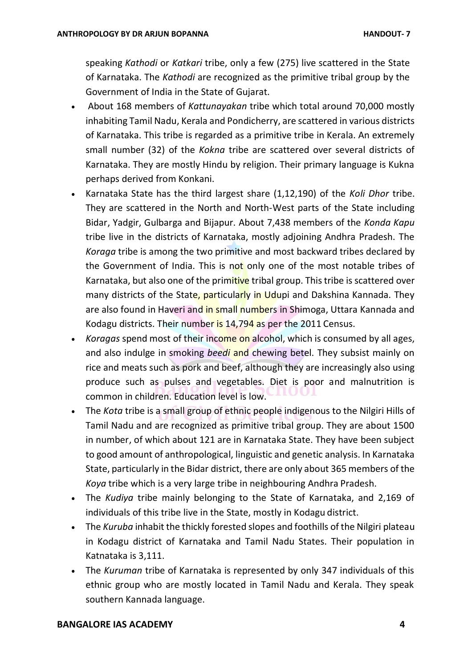speaking *Kathodi* or *Katkari* tribe, only a few (275) live scattered in the State of Karnataka. The *Kathodi* are recognized as the primitive tribal group by the Government of India in the State of Gujarat.

- About 168 members of *Kattunayakan* tribe which total around 70,000 mostly inhabiting Tamil Nadu, Kerala and Pondicherry, are scattered in various districts of Karnataka. This tribe is regarded as a primitive tribe in Kerala. An extremely small number (32) of the *Kokna* tribe are scattered over several districts of Karnataka. They are mostly Hindu by religion. Their primary language is Kukna perhaps derived from Konkani.
- Karnataka State has the third largest share (1,12,190) of the *Koli Dhor* tribe. They are scattered in the North and North-West parts of the State including Bidar, Yadgir, Gulbarga and Bijapur. About 7,438 members of the *Konda Kapu*  tribe live in the districts of Karnataka, mostly adjoining Andhra Pradesh. The *Koraga* tribe is among the two primitive and most backward tribes declared by the Government of India. This is not only one of the most notable tribes of Karnataka, but also one of the primitive tribal group. This tribe is scattered over many districts of the State, particularly in Udupi and Dakshina Kannada. They are also found in Haveri and in small numbers in Shimoga, Uttara Kannada and Kodagu districts. Their number is 14,794 as per the 2011 Census.
- *Koragas* spend most of their income on alcohol, which is consumed by all ages, and also indulge in smoking *beedi* and chewing betel. They subsist mainly on rice and meats such as pork and beef, although they are increasingly also using produce such as pulses and vegetables. Diet is poor and malnutrition is common in children. Education level is low.
- The *Kota* tribe is a small group of ethnic people indigenous to the Nilgiri Hills of Tamil Nadu and are recognized as primitive tribal group. They are about 1500 in number, of which about 121 are in Karnataka State. They have been subject to good amount of anthropological, linguistic and genetic analysis. In Karnataka State, particularly in the Bidar district, there are only about 365 members of the *Koya* tribe which is a very large tribe in neighbouring Andhra Pradesh.
- The *Kudiya* tribe mainly belonging to the State of Karnataka, and 2,169 of individuals of this tribe live in the State, mostly in Kodagu district.
- The *Kuruba* inhabit the thickly forested slopes and foothills of the Nilgiri plateau in Kodagu district of Karnataka and Tamil Nadu States. Their population in Katnataka is 3,111.
- The *Kuruman* tribe of Karnataka is represented by only 347 individuals of this ethnic group who are mostly located in Tamil Nadu and Kerala. They speak southern Kannada language.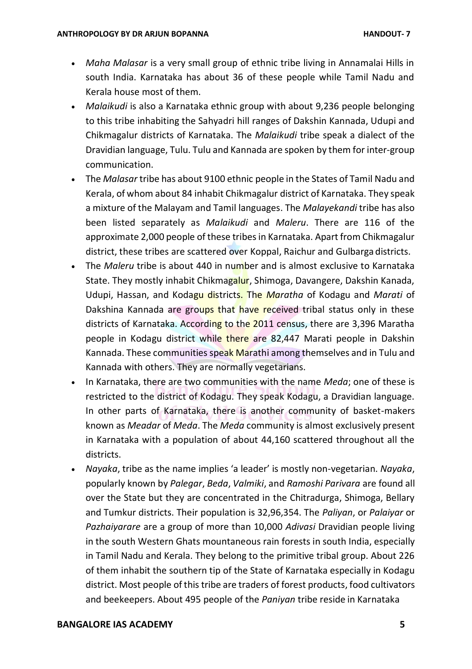- *Maha Malasar* is a very small group of ethnic tribe living in Annamalai Hills in south India. Karnataka has about 36 of these people while Tamil Nadu and Kerala house most of them.
- *Malaikudi* is also a Karnataka ethnic group with about 9,236 people belonging to this tribe inhabiting the Sahyadri hill ranges of Dakshin Kannada, Udupi and Chikmagalur districts of Karnataka. The *Malaikudi* tribe speak a dialect of the Dravidian language, Tulu. Tulu and Kannada are spoken by them for inter-group communication.
- The *Malasar* tribe has about 9100 ethnic people in the States of Tamil Nadu and Kerala, of whom about 84 inhabit Chikmagalur district of Karnataka. They speak a mixture of the Malayam and Tamil languages. The *Malayekandi* tribe has also been listed separately as *Malaikudi* and *Maleru*. There are 116 of the approximate 2,000 people of these tribes in Karnataka. Apart from Chikmagalur district, these tribes are scattered over Koppal, Raichur and Gulbarga districts.
- The *Maleru* tribe is about 440 in number and is almost exclusive to Karnataka State. They mostly inhabit Chikmagalur, Shimoga, Davangere, Dakshin Kanada, Udupi, Hassan, and Kodagu districts. The *Maratha* of Kodagu and *Marati* of Dakshina Kannada are groups that have received tribal status only in these districts of Karnataka. According to the 2011 census, there are 3,396 Maratha people in Kodagu district while there are 82,447 Marati people in Dakshin Kannada. These communities speak Marathi among themselves and in Tulu and Kannada with others. They are normally vegetarians.
- In Karnataka, there are two communities with the name *Meda*; one of these is restricted to the district of Kodagu. They speak Kodagu, a Dravidian language. In other parts of Karnataka, there is another community of basket-makers known as *Meadar* of *Meda*. The *Meda* community is almost exclusively present in Karnataka with a population of about 44,160 scattered throughout all the districts.
- *Nayaka*, tribe as the name implies 'a leader' is mostly non-vegetarian. *Nayaka*, popularly known by *Palegar*, *Beda*, *Valmiki*, and *Ramoshi Parivara* are found all over the State but they are concentrated in the Chitradurga, Shimoga, Bellary and Tumkur districts. Their population is 32,96,354. The *Paliyan*, or *Palaiyar* or *Pazhaiyarare* are a group of more than 10,000 *Adivasi* Dravidian people living in the south Western Ghats mountaneous rain forests in south India, especially in Tamil Nadu and Kerala. They belong to the primitive tribal group. About 226 of them inhabit the southern tip of the State of Karnataka especially in Kodagu district. Most people of this tribe are traders of forest products, food cultivators and beekeepers. About 495 people of the *Paniyan* tribe reside in Karnataka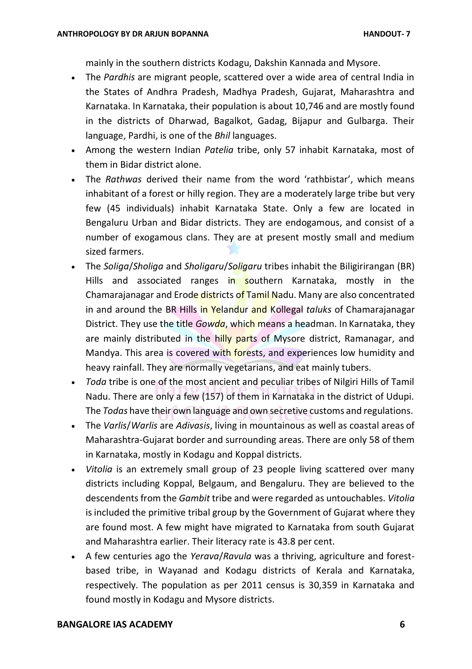mainly in the southern districts Kodagu, Dakshin Kannada and Mysore.

- The *Pardhis* are migrant people, scattered over a wide area of central India in the States of Andhra Pradesh, Madhya Pradesh, Gujarat, Maharashtra and Karnataka. In Karnataka, their population is about 10,746 and are mostly found in the districts of Dharwad, Bagalkot, Gadag, Bijapur and Gulbarga. Their language, Pardhi, is one of the *Bhil* languages.
- Among the western Indian *Patelia* tribe, only 57 inhabit Karnataka, most of them in Bidar district alone.
- The *Rathwas* derived their name from the word 'rathbistar', which means inhabitant of a forest or hilly region. They are a moderately large tribe but very few (45 individuals) inhabit Karnataka State. Only a few are located in Bengaluru Urban and Bidar districts. They are endogamous, and consist of a number of exogamous clans. They are at present mostly small and medium sized farmers.
- The *Soliga*/*Sholiga* and *Sholigaru*/*Soligaru* tribes inhabit the Biligirirangan (BR) Hills and associated ranges in southern Karnataka, mostly in the Chamarajanagar and Erode districts of Tamil Nadu. Many are also concentrated in and around the BR Hills in Yelandur and Kollegal *taluks* of Chamarajanagar District. They use the title *Gowda*, which means a headman. In Karnataka, they are mainly distributed in the hilly parts of Mysore district, Ramanagar, and Mandya. This area is covered with forests, and experiences low humidity and heavy rainfall. They are normally vegetarians, and eat mainly tubers.
- *Toda* tribe is one of the most ancient and peculiar tribes of Nilgiri Hills of Tamil Nadu. There are only a few (157) of them in Karnataka in the district of Udupi. The *Todas* have their own language and own secretive customs and regulations.
- The *Varlis*/*Warlis* are *Adivasis*, living in mountainous as well as coastal areas of Maharashtra-Gujarat border and surrounding areas. There are only 58 of them in Karnataka, mostly in Kodagu and Koppal districts.
- *Vitolia* is an extremely small group of 23 people living scattered over many districts including Koppal, Belgaum, and Bengaluru. They are believed to the descendents from the *Gambit* tribe and were regarded as untouchables. *Vitolia*  is included the primitive tribal group by the Government of Gujarat where they are found most. A few might have migrated to Karnataka from south Gujarat and Maharashtra earlier. Their literacy rate is 43.8 per cent.
- A few centuries ago the *Yerava*/*Ravula* was a thriving, agriculture and forestbased tribe, in Wayanad and Kodagu districts of Kerala and Karnataka, respectively. The population as per 2011 census is 30,359 in Karnataka and found mostly in Kodagu and Mysore districts.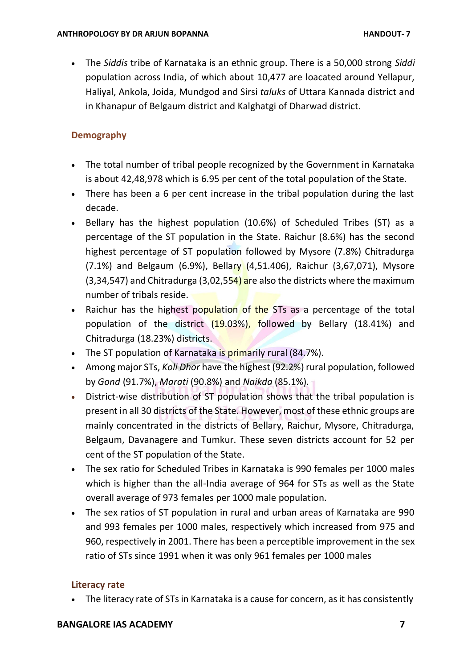The *Siddis* tribe of Karnataka is an ethnic group. There is a 50,000 strong *Siddi*  population across India, of which about 10,477 are loacated around Yellapur, Haliyal, Ankola, Joida, Mundgod and Sirsi *taluks* of Uttara Kannada district and in Khanapur of Belgaum district and Kalghatgi of Dharwad district.

### **Demography**

- The total number of tribal people recognized by the Government in Karnataka is about 42,48,978 which is 6.95 per cent of the total population of the State.
- There has been a 6 per cent increase in the tribal population during the last decade.
- Bellary has the highest population (10.6%) of Scheduled Tribes (ST) as a percentage of the ST population in the State. Raichur (8.6%) has the second highest percentage of ST population followed by Mysore (7.8%) Chitradurga (7.1%) and Belgaum (6.9%), Bellary (4,51.406), Raichur (3,67,071), Mysore  $(3,34,547)$  and Chitradurga  $(3,02,554)$  are also the districts where the maximum number of tribals reside.
- Raichur has the highest population of the STs as a percentage of the total population of the district (19.03%), followed by Bellary (18.41%) and Chitradurga (18.23%) districts.
- The ST population of Karnataka is primarily rural (84.7%).
- Among major STs, *Koli Dhor* have the highest (92.2%) rural population, followed by *Gond* (91.7%), *Marati* (90.8%) and *Naikda* (85.1%).
- District-wise distribution of ST population shows that the tribal population is present in all 30 districts of the State. However, most of these ethnic groups are mainly concentrated in the districts of Bellary, Raichur, Mysore, Chitradurga, Belgaum, Davanagere and Tumkur. These seven districts account for 52 per cent of the ST population of the State.
- The sex ratio for Scheduled Tribes in Karnataka is 990 females per 1000 males which is higher than the all-India average of 964 for STs as well as the State overall average of 973 females per 1000 male population.
- The sex ratios of ST population in rural and urban areas of Karnataka are 990 and 993 females per 1000 males, respectively which increased from 975 and 960, respectively in 2001. There has been a perceptible improvement in the sex ratio of STs since 1991 when it was only 961 females per 1000 males

### **Literacy rate**

• The literacy rate of STs in Karnataka is a cause for concern, as it has consistently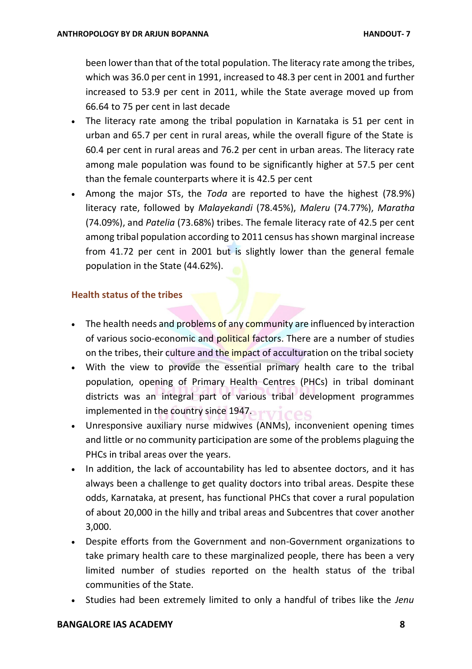been lower than that of the total population. The literacy rate among the tribes, which was 36.0 per cent in 1991, increased to 48.3 per cent in 2001 and further increased to 53.9 per cent in 2011, while the State average moved up from 66.64 to 75 per cent in last decade

- The literacy rate among the tribal population in Karnataka is 51 per cent in urban and 65.7 per cent in rural areas, while the overall figure of the State is 60.4 per cent in rural areas and 76.2 per cent in urban areas. The literacy rate among male population was found to be significantly higher at 57.5 per cent than the female counterparts where it is 42.5 per cent
- Among the major STs, the *Toda* are reported to have the highest (78.9%) literacy rate, followed by *Malayekandi* (78.45%), *Maleru* (74.77%), *Maratha*  (74.09%), and *Patelia* (73.68%) tribes. The female literacy rate of 42.5 per cent among tribal population according to 2011 census has shown marginal increase from 41.72 per cent in 2001 but is slightly lower than the general female population in the State (44.62%).

### **Health status of the tribes**

- $\bullet$  The health needs and problems of any community are influenced by interaction of various socio-economic and political factors. There are a number of studies on the tribes, their culture and the impact of acculturation on the tribal society
- With the view to provide the essential primary health care to the tribal population, opening of Primary Health Centres (PHCs) in tribal dominant districts was an integral part of various tribal development programmes implemented in the country since 1947.
- Unresponsive auxiliary nurse midwives (ANMs), inconvenient opening times and little or no community participation are some of the problems plaguing the PHCs in tribal areas over the years.
- In addition, the lack of accountability has led to absentee doctors, and it has always been a challenge to get quality doctors into tribal areas. Despite these odds, Karnataka, at present, has functional PHCs that cover a rural population of about 20,000 in the hilly and tribal areas and Subcentres that cover another 3,000.
- Despite efforts from the Government and non-Government organizations to take primary health care to these marginalized people, there has been a very limited number of studies reported on the health status of the tribal communities of the State.
- Studies had been extremely limited to only a handful of tribes like the *Jenu*

#### **BANGALORE IAS ACADEMY 8**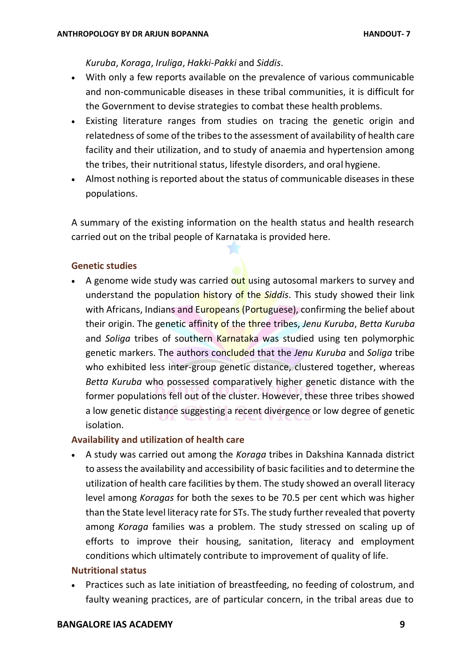*Kuruba*, *Koraga*, *Iruliga*, *Hakki-Pakki* and *Siddis*.

- With only a few reports available on the prevalence of various communicable and non-communicable diseases in these tribal communities, it is difficult for the Government to devise strategies to combat these health problems.
- Existing literature ranges from studies on tracing the genetic origin and relatedness of some of the tribes to the assessment of availability of health care facility and their utilization, and to study of anaemia and hypertension among the tribes, their nutritional status, lifestyle disorders, and oral hygiene.
- Almost nothing is reported about the status of communicable diseases in these populations.

A summary of the existing information on the health status and health research carried out on the tribal people of Karnataka is provided here.

### **Genetic studies**

A genome wide study was carried out using autosomal markers to survey and understand the population history of the *Siddis*. This study showed their link with Africans, Indians and Europeans (Portuguese), confirming the belief about their origin. The genetic affinity of the three tribes, *Jenu Kuruba*, *Betta Kuruba*  and *Soliga* tribes of southern Karnataka was studied using ten polymorphic genetic markers. The authors concluded that the *Jenu Kuruba* and *Soliga* tribe who exhibited less inter-group genetic distance, clustered together, whereas *Betta Kuruba* who possessed comparatively higher genetic distance with the former populations fell out of the cluster. However, these three tribes showed a low genetic distance suggesting a recent divergence or low degree of genetic isolation.

# **Availability and utilization of health care**

 A study was carried out among the *Koraga* tribes in Dakshina Kannada district to assessthe availability and accessibility of basic facilities and to determine the utilization of health care facilities by them. The study showed an overall literacy level among *Koragas* for both the sexes to be 70.5 per cent which was higher than the State level literacy rate for STs. The study further revealed that poverty among *Koraga* families was a problem. The study stressed on scaling up of efforts to improve their housing, sanitation, literacy and employment conditions which ultimately contribute to improvement of quality of life.

### **Nutritional status**

 Practices such as late initiation of breastfeeding, no feeding of colostrum, and faulty weaning practices, are of particular concern, in the tribal areas due to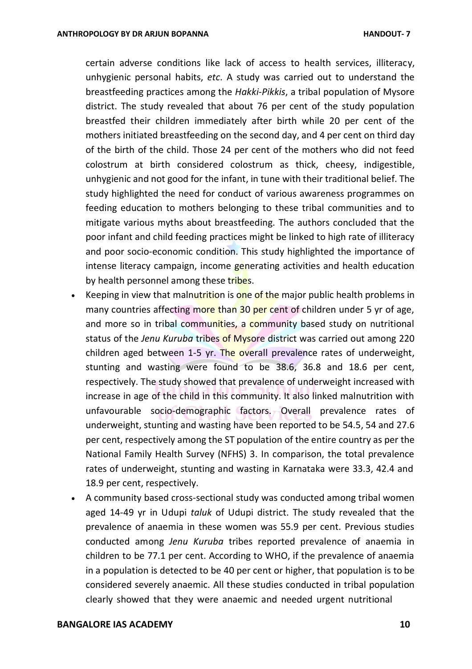certain adverse conditions like lack of access to health services, illiteracy, unhygienic personal habits, *etc*. A study was carried out to understand the breastfeeding practices among the *Hakki-Pikkis*, a tribal population of Mysore district. The study revealed that about 76 per cent of the study population breastfed their children immediately after birth while 20 per cent of the mothers initiated breastfeeding on the second day, and 4 per cent on third day of the birth of the child. Those 24 per cent of the mothers who did not feed colostrum at birth considered colostrum as thick, cheesy, indigestible, unhygienic and not good for the infant, in tune with their traditional belief. The study highlighted the need for conduct of various awareness programmes on feeding education to mothers belonging to these tribal communities and to mitigate various myths about breastfeeding. The authors concluded that the poor infant and child feeding practices might be linked to high rate of illiteracy and poor socio-economic condition. This study highlighted the importance of intense literacy campaign, income generating activities and health education by health personnel among these tribes.

- Exercing in view that malnutrition is one of the major public health problems in many countries affecting more than 30 per cent of children under 5 yr of age, and more so in tribal communities, a community based study on nutritional status of the *Jenu Kuruba* tribes of Mysore district was carried out among 220 children aged between 1-5 yr. The overall prevalence rates of underweight, stunting and wasting were found to be 38.6, 36.8 and 18.6 per cent, respectively. The study showed that prevalence of underweight increased with increase in age of the child in this community. It also linked malnutrition with unfavourable socio-demographic factors. Overall prevalence rates of underweight, stunting and wasting have been reported to be 54.5, 54 and 27.6 per cent, respectively among the ST population of the entire country as per the National Family Health Survey (NFHS) 3. In comparison, the total prevalence rates of underweight, stunting and wasting in Karnataka were 33.3, 42.4 and 18.9 per cent, respectively.
- A community based cross-sectional study was conducted among tribal women aged 14-49 yr in Udupi *taluk* of Udupi district. The study revealed that the prevalence of anaemia in these women was 55.9 per cent. Previous studies conducted among *Jenu Kuruba* tribes reported prevalence of anaemia in children to be 77.1 per cent. According to WHO, if the prevalence of anaemia in a population is detected to be 40 per cent or higher, that population is to be considered severely anaemic. All these studies conducted in tribal population clearly showed that they were anaemic and needed urgent nutritional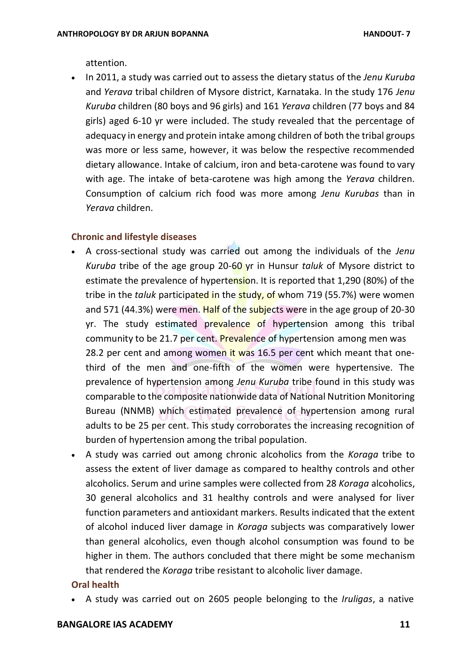attention.

 In 2011, a study was carried out to assess the dietary status of the *Jenu Kuruba*  and *Yerava* tribal children of Mysore district, Karnataka. In the study 176 *Jenu Kuruba* children (80 boys and 96 girls) and 161 *Yerava* children (77 boys and 84 girls) aged 6-10 yr were included. The study revealed that the percentage of adequacy in energy and protein intake among children of both the tribal groups was more or less same, however, it was below the respective recommended dietary allowance. Intake of calcium, iron and beta-carotene was found to vary with age. The intake of beta-carotene was high among the *Yerava* children. Consumption of calcium rich food was more among *Jenu Kurubas* than in *Yerava* children.

#### **Chronic and lifestyle diseases**

- A cross-sectional study was carried out among the individuals of the *Jenu Kuruba* tribe of the age group 20-60 yr in Hunsur *taluk* of Mysore district to estimate the prevalence of hypertension. It is reported that 1,290 (80%) of the tribe in the *taluk* participated in the study, of whom 719 (55.7%) were women and 571 (44.3%) were men. Half of the subjects were in the age group of 20-30 yr. The study estimated prevalence of hypertension among this tribal community to be 21.7 per cent. Prevalence of hypertension among men was 28.2 per cent and among women it was 16.5 per cent which meant that onethird of the men and one-fifth of the women were hypertensive. The prevalence of hypertension among *Jenu Kuruba* tribe found in this study was comparable to the composite nationwide data of National Nutrition Monitoring Bureau (NNMB) which estimated prevalence of hypertension among rural adults to be 25 per cent. This study corroborates the increasing recognition of burden of hypertension among the tribal population.
- A study was carried out among chronic alcoholics from the *Koraga* tribe to assess the extent of liver damage as compared to healthy controls and other alcoholics. Serum and urine samples were collected from 28 *Koraga* alcoholics, 30 general alcoholics and 31 healthy controls and were analysed for liver function parameters and antioxidant markers. Results indicated that the extent of alcohol induced liver damage in *Koraga* subjects was comparatively lower than general alcoholics, even though alcohol consumption was found to be higher in them. The authors concluded that there might be some mechanism that rendered the *Koraga* tribe resistant to alcoholic liver damage.

#### **Oral health**

A study was carried out on 2605 people belonging to the *Iruligas*, a native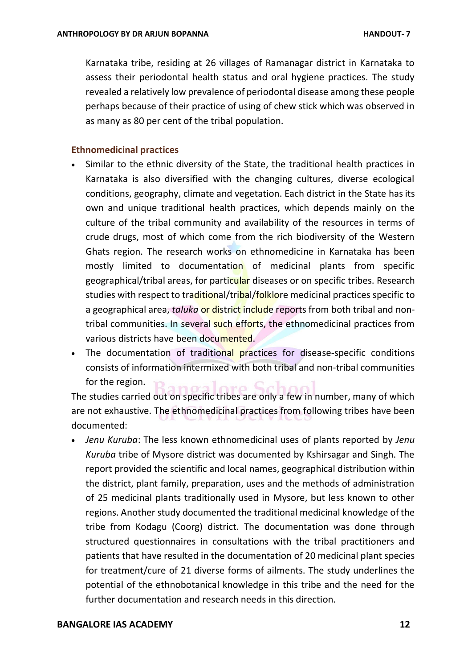Karnataka tribe, residing at 26 villages of Ramanagar district in Karnataka to assess their periodontal health status and oral hygiene practices. The study revealed a relatively low prevalence of periodontal disease among these people perhaps because of their practice of using of chew stick which was observed in as many as 80 per cent of the tribal population.

#### **Ethnomedicinal practices**

- Similar to the ethnic diversity of the State, the traditional health practices in Karnataka is also diversified with the changing cultures, diverse ecological conditions, geography, climate and vegetation. Each district in the State has its own and unique traditional health practices, which depends mainly on the culture of the tribal community and availability of the resources in terms of crude drugs, most of which come from the rich biodiversity of the Western Ghats region. The research works on ethnomedicine in Karnataka has been mostly limited to documentation of medicinal plants from specific geographical/tribal areas, for particular diseases or on specific tribes. Research studies with respect to traditional/tribal/folklore medicinal practices specific to a geographical area, *taluka* or district include reports from both tribal and nontribal communities. In several such efforts, the ethnomedicinal practices from various districts have been documented.
- The documentation of traditional practices for disease-specific conditions consists of information intermixed with both tribal and non-tribal communities for the region.

The studies carried out on specific tribes are only a few in number, many of which are not exhaustive. The ethnomedicinal practices from following tribes have been documented:

 *Jenu Kuruba*: The less known ethnomedicinal uses of plants reported by *Jenu Kuruba* tribe of Mysore district was documented by Kshirsagar and Singh. The report provided the scientific and local names, geographical distribution within the district, plant family, preparation, uses and the methods of administration of 25 medicinal plants traditionally used in Mysore, but less known to other regions. Another study documented the traditional medicinal knowledge of the tribe from Kodagu (Coorg) district. The documentation was done through structured questionnaires in consultations with the tribal practitioners and patients that have resulted in the documentation of 20 medicinal plant species for treatment/cure of 21 diverse forms of ailments. The study underlines the potential of the ethnobotanical knowledge in this tribe and the need for the further documentation and research needs in this direction.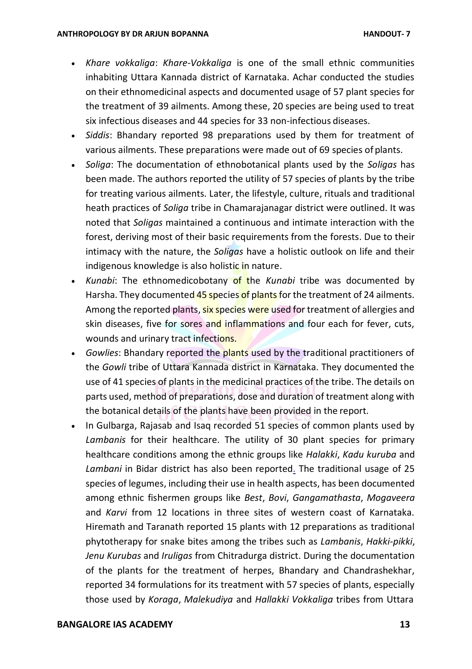- *Khare vokkaliga*: *Khare-Vokkaliga* is one of the small ethnic communities inhabiting Uttara Kannada district of Karnataka. Achar conducted the studies on their ethnomedicinal aspects and documented usage of 57 plant species for the treatment of 39 ailments. Among these, 20 species are being used to treat six infectious diseases and 44 species for 33 non-infectious diseases.
- *Siddis*: Bhandary reported 98 preparations used by them for treatment of various ailments. These preparations were made out of 69 species of plants.
- *Soliga*: The documentation of ethnobotanical plants used by the *Soligas* has been made. The authors reported the utility of 57 species of plants by the tribe for treating various ailments. Later, the lifestyle, culture, rituals and traditional heath practices of *Soliga* tribe in Chamarajanagar district were outlined. It was noted that *Soligas* maintained a continuous and intimate interaction with the forest, deriving most of their basic requirements from the forests. Due to their intimacy with the nature, the *Soligas* have a holistic outlook on life and their indigenous knowledge is also holistic in nature.
- *Kunabi*: The ethnomedicobotany of the *Kunabi* tribe was documented by Harsha. They documented 45 species of plants for the treatment of 24 ailments. Among the reported plants, six species were used for treatment of allergies and skin diseases, five for sores and inflammations and four each for fever, cuts, wounds and urinary tract infections.
- *Gowlies*: Bhandary reported the plants used by the traditional practitioners of the *Gowli* tribe of Uttara Kannada district in Karnataka. They documented the use of 41 species of plants in the medicinal practices of the tribe. The details on parts used, method of preparations, dose and duration of treatment along with the botanical details of the plants have been provided in the report.
- In Gulbarga, Rajasab and Isaq recorded 51 species of common plants used by *Lambanis* for their healthcare. The utility of 30 plant species for primary healthcare conditions among the ethnic groups like *Halakki*, *Kadu kuruba* and *Lambani* in Bidar district has also been reported. The traditional usage of 25 species of legumes, including their use in health aspects, has been documented among ethnic fishermen groups like *Best*, *Bovi*, *Gangamathasta*, *Mogaveera*  and *Karvi* from 12 locations in three sites of western coast of Karnataka. Hiremath and Taranath reported 15 plants with 12 preparations as traditional phytotherapy for snake bites among the tribes such as *Lambanis*, *Hakki-pikki*, *Jenu Kurubas* and *Iruligas* from Chitradurga district. During the documentation of the plants for the treatment of herpes, Bhandary and Chandrashekhar, reported 34 formulations for its treatment with 57 species of plants, especially those used by *Koraga*, *Malekudiya* and *Hallakki Vokkaliga* tribes from Uttara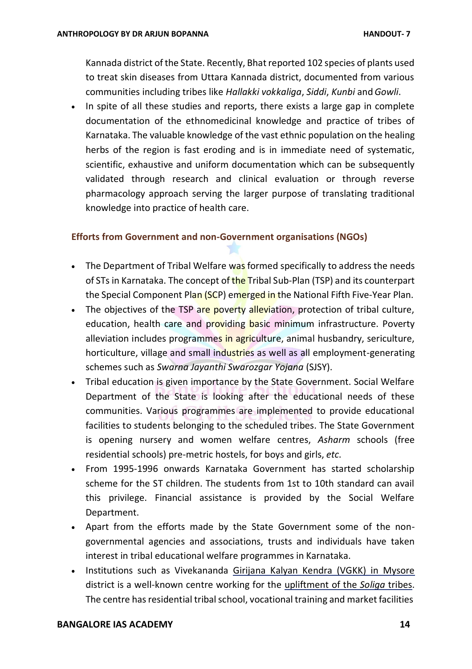Kannada district of the State. Recently, Bhatreported 102 species of plants used to treat skin diseases from Uttara Kannada district, documented from various communities including tribes like *Hallakki vokkaliga*, *Siddi*, *Kunbi* and*Gowli*.

• In spite of all these studies and reports, there exists a large gap in complete documentation of the ethnomedicinal knowledge and practice of tribes of Karnataka. The valuable knowledge of the vast ethnic population on the healing herbs of the region is fast eroding and is in immediate need of systematic, scientific, exhaustive and uniform documentation which can be subsequently validated through research and clinical evaluation or through reverse pharmacology approach serving the larger purpose of translating traditional knowledge into practice of health care.

### **Efforts from Government and non-Government organisations (NGOs)**

- The Department of Tribal Welfare was formed specifically to address the needs of STs in Karnataka. The concept of the Tribal Sub-Plan (TSP) and its counterpart the Special Component Plan (SCP) emerged in the National Fifth Five-Year Plan.
- The objectives of the TSP are poverty alleviation, protection of tribal culture, education, health care and providing basic minimum infrastructure. Poverty alleviation includes programmes in agriculture, animal husbandry, sericulture, horticulture, village and small industries as well as all employment-generating schemes such as *Swarna Jayanthi Swarozgar Yojana* (SJSY).
- Tribal education is given importance by the State Government. Social Welfare Department of the State is looking after the educational needs of these communities. Various programmes are implemented to provide educational facilities to students belonging to the scheduled tribes. The State Government is opening nursery and women welfare centres, *Asharm* schools (free residential schools) pre-metric hostels, for boys and girls, *etc*.
- From 1995-1996 onwards Karnataka Government has started scholarship scheme for the ST children. The students from 1st to 10th standard can avail this privilege. Financial assistance is provided by the Social Welfare Department.
- Apart from the efforts made by the State Government some of the nongovernmental agencies and associations, trusts and individuals have taken interest in tribal educational welfare programmes in Karnataka.
- Institutions such as Vivekananda Girijana Kalyan Kendra (VGKK) in Mysore district is a well-known centre working for the upliftment of the *Soliga* tribes. The centre has residential tribal school, vocational training and market facilities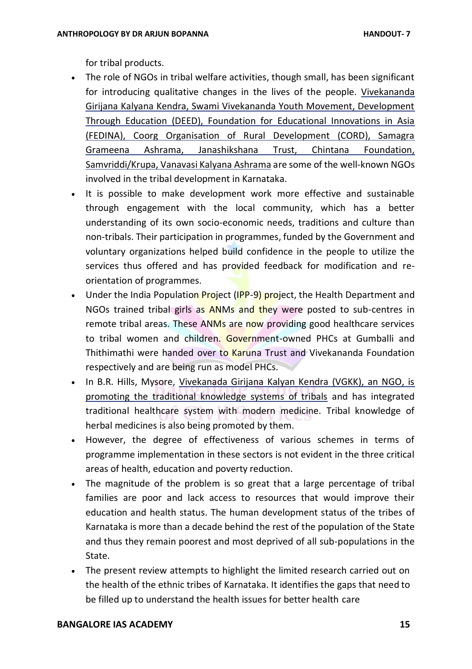for tribal products.

- The role of NGOs in tribal welfare activities, though small, has been significant for introducing qualitative changes in the lives of the people. Vivekananda Girijana Kalyana Kendra, Swami Vivekananda Youth Movement, Development Through Education (DEED), Foundation for Educational Innovations in Asia (FEDINA), Coorg Organisation of Rural Development (CORD), Samagra Grameena Ashrama, Janashikshana Trust, Chintana Foundation, Samvriddi/Krupa, Vanavasi Kalyana Ashrama are some of the well-known NGOs involved in the tribal development in Karnataka.
- It is possible to make development work more effective and sustainable through engagement with the local community, which has a better understanding of its own socio-economic needs, traditions and culture than non-tribals. Their participation in programmes, funded by the Government and voluntary organizations helped build confidence in the people to utilize the services thus offered and has provided feedback for modification and reorientation of programmes.
- Under the India Population Project (IPP-9) project, the Health Department and NGOs trained tribal girls as ANMs and they were posted to sub-centres in remote tribal areas. These ANMs are now providing good healthcare services to tribal women and children. Government-owned PHCs at Gumballi and Thithimathi were handed over to Karuna Trust and Vivekananda Foundation respectively and are being run as model PHCs.
- In B.R. Hills, Mysore, Vivekanada Girijana Kalyan Kendra (VGKK), an NGO, is promoting the traditional knowledge systems of tribals and has integrated traditional healthcare system with modern medicine. Tribal knowledge of herbal medicines is also being promoted by them.
- However, the degree of effectiveness of various schemes in terms of programme implementation in these sectors is not evident in the three critical areas of health, education and poverty reduction.
- The magnitude of the problem is so great that a large percentage of tribal families are poor and lack access to resources that would improve their education and health status. The human development status of the tribes of Karnataka is more than a decade behind the rest of the population of the State and thus they remain poorest and most deprived of all sub-populations in the State.
- The present review attempts to highlight the limited research carried out on the health of the ethnic tribes of Karnataka. It identifies the gaps that need to be filled up to understand the health issues for better health care